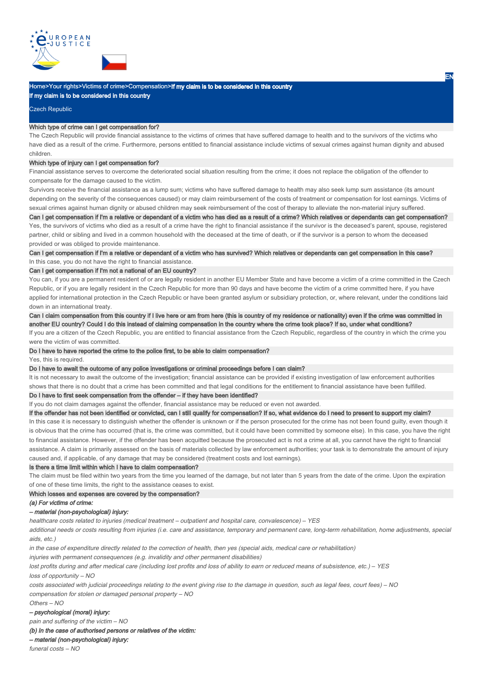



## Home>Your rights>Victims of crime>Compensation>If my claim is to be considered in this country

If my claim is to be considered in this country

#### Czech Republic

#### Which type of crime can I get compensation for?

The Czech Republic will provide financial assistance to the victims of crimes that have suffered damage to health and to the survivors of the victims who have died as a result of the crime. Furthermore, persons entitled to financial assistance include victims of sexual crimes against human dignity and abused children.

## Which type of injury can I get compensation for?

Financial assistance serves to overcome the deteriorated social situation resulting from the crime; it does not replace the obligation of the offender to compensate for the damage caused to the victim.

Survivors receive the financial assistance as a lump sum; victims who have suffered damage to health may also seek lump sum assistance (its amount depending on the severity of the consequences caused) or may claim reimbursement of the costs of treatment or compensation for lost earnings. Victims of sexual crimes against human dignity or abused children may seek reimbursement of the cost of therapy to alleviate the non-material injury suffered. Can I get compensation if I'm a relative or dependant of a victim who has died as a result of a crime? Which relatives or dependants can get compensation?

Yes, the survivors of victims who died as a result of a crime have the right to financial assistance if the survivor is the deceased's parent, spouse, registered partner, child or sibling and lived in a common household with the deceased at the time of death, or if the survivor is a person to whom the deceased provided or was obliged to provide maintenance.

## Can I get compensation if I'm a relative or dependant of a victim who has survived? Which relatives or dependants can get compensation in this case? In this case, you do not have the right to financial assistance.

Can I get compensation if I'm not a national of an EU country?

You can, if you are a permanent resident of or are legally resident in another EU Member State and have become a victim of a crime committed in the Czech Republic, or if you are legally resident in the Czech Republic for more than 90 days and have become the victim of a crime committed here, if you have applied for international protection in the Czech Republic or have been granted asylum or subsidiary protection, or, where relevant, under the conditions laid down in an international treaty.

Can I claim compensation from this country if I live here or am from here (this is country of my residence or nationality) even if the crime was committed in another EU country? Could I do this instead of claiming compensation in the country where the crime took place? If so, under what conditions?

If you are a citizen of the Czech Republic, you are entitled to financial assistance from the Czech Republic, regardless of the country in which the crime you were the victim of was committed.

## Do I have to have reported the crime to the police first, to be able to claim compensation?

Yes, this is required.

## Do I have to await the outcome of any police investigations or criminal proceedings before I can claim?

It is not necessary to await the outcome of the investigation; financial assistance can be provided if existing investigation of law enforcement authorities shows that there is no doubt that a crime has been committed and that legal conditions for the entitlement to financial assistance have been fulfilled.

#### Do I have to first seek compensation from the offender – if they have been identified?

If you do not claim damages against the offender, financial assistance may be reduced or even not awarded.

## If the offender has not been identified or convicted, can I still qualify for compensation? If so, what evidence do I need to present to support my claim?

In this case it is necessary to distinguish whether the offender is unknown or if the person prosecuted for the crime has not been found guilty, even though it is obvious that the crime has occurred (that is, the crime was committed, but it could have been committed by someone else). In this case, you have the right to financial assistance. However, if the offender has been acquitted because the prosecuted act is not a crime at all, you cannot have the right to financial assistance. A claim is primarily assessed on the basis of materials collected by law enforcement authorities; your task is to demonstrate the amount of injury caused and, if applicable, of any damage that may be considered (treatment costs and lost earnings).

#### Is there a time limit within which I have to claim compensation?

The claim must be filed within two years from the time you learned of the damage, but not later than 5 years from the date of the crime. Upon the expiration of one of these time limits, the right to the assistance ceases to exist.

#### Which losses and expenses are covered by the compensation?

(a) For victims of crime:

#### – material (non-psychological) injury:

healthcare costs related to injuries (medical treatment – outpatient and hospital care, convalescence) – YES

additional needs or costs resulting from injuries (i.e. care and assistance, temporary and permanent care, long-term rehabilitation, home adjustments, special aids, etc.)

in the case of expenditure directly related to the correction of health, then yes (special aids, medical care or rehabilitation)

injuries with permanent consequences (e.g. invalidity and other permanent disabilities)

lost profits during and after medical care (including lost profits and loss of ability to earn or reduced means of subsistence, etc.) – YES loss of opportunity – NO

costs associated with judicial proceedings relating to the event giving rise to the damage in question, such as legal fees, court fees) – NO compensation for stolen or damaged personal property – NO

#### Others – NO

– psychological (moral) injury:

pain and suffering of the victim – NO

(b) In the case of authorised persons or relatives of the victim:

– material (non-psychological) injury:

funeral costs – NO